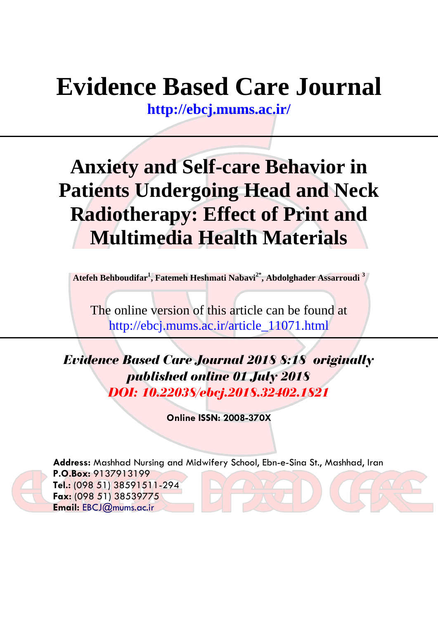# **Evidence Based Care Journal**

**<http://ebcj.mums.ac.ir/>**

## **Anxiety and Self-care Behavior in Patients Undergoing Head and Neck Radiotherapy: Effect of Print and Multimedia Health Materials**

**Atefeh Behboudifar<sup>1</sup> , Fatemeh Heshmati Nabavi2\* , Abdolghader Assarroudi <sup>3</sup>**

The online version of this article can be found at http://ebcj.mums.ac.ir/article\_11071.html

*Evidence Based Care Journal 2018 8:18 originally published online 01 July 2018 DOI: 10.22038/ebcj.2018.32402.1821*

**Online ISSN: 2008-370X**



**Address:** Mashhad Nursing and Midwifery School, Ebn-e-Sina St., Mashhad, Iran **P.O.Box:** 9137913199 **Tel.:** (098 51) 38591511-294

**Fax:** (098 51) 38539775 **Email:** [EBCJ@mums.ac.ir](mailto:EBCJ@mums.ac.ir)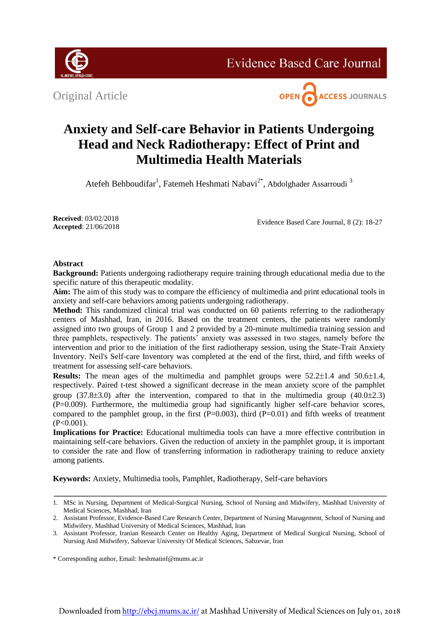

**Evidence Based Care Journal** 

Original Article



### **Anxiety and Self-care Behavior in Patients Undergoing Head and Neck Radiotherapy: Effect of Print and Multimedia Health Materials**

Atefeh Behboudifar<sup>1</sup>, Fatemeh Heshmati Nabavi<sup>2\*</sup>, Abdolghader Assarroudi<sup>3</sup>

**Received**: 03/02/2018 **Accepted**: 21/06/2018

Evidence Based Care Journal, 8 (2): 18-27

#### **Abstract**

**Background:** Patients undergoing radiotherapy require training through educational media due to the specific nature of this therapeutic modality.

**Aim:** The aim of this study was to compare the efficiency of multimedia and print educational tools in anxiety and self-care behaviors among patients undergoing radiotherapy.

**Method:** This randomized clinical trial was conducted on 60 patients referring to the radiotherapy centers of Mashhad, Iran, in 2016. Based on the treatment centers, the patients were randomly assigned into two groups of Group 1 and 2 provided by a 20-minute multimedia training session and three pamphlets, respectively. The patients' anxiety was assessed in two stages, namely before the intervention and prior to the initiation of the first radiotherapy session, using the State-Trait Anxiety Inventory. Neil's Self-care Inventory was completed at the end of the first, third, and fifth weeks of treatment for assessing self-care behaviors.

**Results:** The mean ages of the multimedia and pamphlet groups were  $52.2 \pm 1.4$  and  $50.6 \pm 1.4$ , respectively. Paired t-test showed a significant decrease in the mean anxiety score of the pamphlet group  $(37.8\pm3.0)$  after the intervention, compared to that in the multimedia group  $(40.0\pm2.3)$ (P=0.009). Furthermore, the multimedia group had significantly higher self-care behavior scores, compared to the pamphlet group, in the first  $(P=0.003)$ , third  $(P=0.01)$  and fifth weeks of treatment  $(P<0.001)$ .

**Implications for Practice:** Educational multimedia tools can have a more effective contribution in maintaining self-care behaviors. Given the reduction of anxiety in the pamphlet group, it is important to consider the rate and flow of transferring information in radiotherapy training to reduce anxiety among patients.

**Keywords:** Anxiety, Multimedia tools, Pamphlet, Radiotherapy, Self-care behaviors

<sup>1.</sup> MSc in Nursing, Department of Medical-Surgical Nursing, School of Nursing and Midwifery, Mashhad University of Medical Sciences, Mashhad, Iran

<sup>2.</sup> Assistant Professor, Evidence-Based Care Research Center, Department of Nursing Management, School of Nursing and Midwifery, Mashhad University of Medical Sciences, Mashhad, Iran

<sup>3.</sup> Assistant Professor, Iranian Research Center on Healthy Aging, Department of Medical Surgical Nursing, School of Nursing And Midwifery, Sabzevar University Of Medical Sciences, Sabzevar, Iran

<sup>\*</sup> Corresponding author, Email: heshmatinf@mums.ac.ir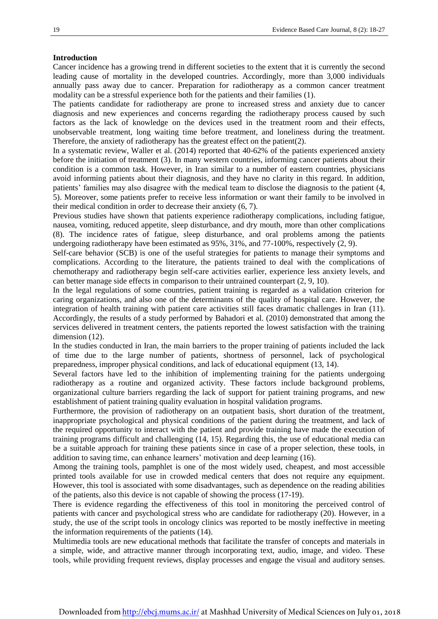#### **Introduction**

Cancer incidence has a growing trend in different societies to the extent that it is currently the second leading cause of mortality in the developed countries. Accordingly, more than 3,000 individuals annually pass away due to cancer. Preparation for radiotherapy as a common cancer treatment modality can be a stressful experience both for the patients and their families (1).

The patients candidate for radiotherapy are prone to increased stress and anxiety due to cancer diagnosis and new experiences and concerns regarding the radiotherapy process caused by such factors as the lack of knowledge on the devices used in the treatment room and their effects, unobservable treatment, long waiting time before treatment, and loneliness during the treatment. Therefore, the anxiety of radiotherapy has the greatest effect on the patient(2).

In a systematic review, Waller et al. (2014) reported that 40-62% of the patients experienced anxiety before the initiation of treatment (3). In many western countries, informing cancer patients about their condition is a common task. However, in Iran similar to a number of eastern countries, physicians avoid informing patients about their diagnosis, and they have no clarity in this regard. In addition, patients' families may also disagree with the medical team to disclose the diagnosis to the patient (4, 5). Moreover, some patients prefer to receive less information or want their family to be involved in their medical condition in order to decrease their anxiety (6, 7).

Previous studies have shown that patients experience radiotherapy complications, including fatigue, nausea, vomiting, reduced appetite, sleep disturbance, and dry mouth, more than other complications (8). The incidence rates of fatigue, sleep disturbance, and oral problems among the patients undergoing radiotherapy have been estimated as 95%, 31%, and 77-100%, respectively (2, 9).

Self-care behavior (SCB) is one of the useful strategies for patients to manage their symptoms and complications. According to the literature, the patients trained to deal with the complications of chemotherapy and radiotherapy begin self-care activities earlier, experience less anxiety levels, and can better manage side effects in comparison to their untrained counterpart (2, 9, 10).

In the legal regulations of some countries, patient training is regarded as a validation criterion for caring organizations, and also one of the determinants of the quality of hospital care. However, the integration of health training with patient care activities still faces dramatic challenges in Iran (11). Accordingly, the results of a study performed by Bahadori et al. (2010) demonstrated that among the services delivered in treatment centers, the patients reported the lowest satisfaction with the training dimension (12).

In the studies conducted in Iran, the main barriers to the proper training of patients included the lack of time due to the large number of patients, shortness of personnel, lack of psychological preparedness, improper physical conditions, and lack of educational equipment (13, 14).

Several factors have led to the inhibition of implementing training for the patients undergoing radiotherapy as a routine and organized activity. These factors include background problems, organizational culture barriers regarding the lack of support for patient training programs, and new establishment of patient training quality evaluation in hospital validation programs.

Furthermore, the provision of radiotherapy on an outpatient basis, short duration of the treatment, inappropriate psychological and physical conditions of the patient during the treatment, and lack of the required opportunity to interact with the patient and provide training have made the execution of training programs difficult and challenging (14, 15). Regarding this, the use of educational media can be a suitable approach for training these patients since in case of a proper selection, these tools, in addition to saving time, can enhance learners' motivation and deep learning (16).

Among the training tools, pamphlet is one of the most widely used, cheapest, and most accessible printed tools available for use in crowded medical centers that does not require any equipment. However, this tool is associated with some disadvantages, such as dependence on the reading abilities of the patients, also this device is not capable of showing the process (17-19).

There is evidence regarding the effectiveness of this tool in monitoring the perceived control of patients with cancer and psychological stress who are candidate for radiotherapy (20). However, in a study, the use of the script tools in oncology clinics was reported to be mostly ineffective in meeting the information requirements of the patients (14).

Multimedia tools are new educational methods that facilitate the transfer of concepts and materials in a simple, wide, and attractive manner through incorporating text, audio, image, and video. These tools, while providing frequent reviews, display processes and engage the visual and auditory senses.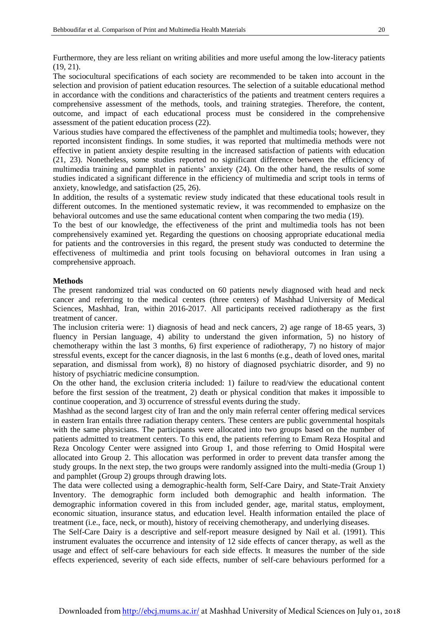Furthermore, they are less reliant on writing abilities and more useful among the low-literacy patients (19, 21).

The sociocultural specifications of each society are recommended to be taken into account in the selection and provision of patient education resources. The selection of a suitable educational method in accordance with the conditions and characteristics of the patients and treatment centers requires a comprehensive assessment of the methods, tools, and training strategies. Therefore, the content, outcome, and impact of each educational process must be considered in the comprehensive assessment of the patient education process (22).

Various studies have compared the effectiveness of the pamphlet and multimedia tools; however, they reported inconsistent findings. In some studies, it was reported that multimedia methods were not effective in patient anxiety despite resulting in the increased satisfaction of patients with education (21, 23). Nonetheless, some studies reported no significant difference between the efficiency of multimedia training and pamphlet in patients' anxiety (24). On the other hand, the results of some studies indicated a significant difference in the efficiency of multimedia and script tools in terms of anxiety, knowledge, and satisfaction (25, 26).

In addition, the results of a systematic review study indicated that these educational tools result in different outcomes. In the mentioned systematic review, it was recommended to emphasize on the behavioral outcomes and use the same educational content when comparing the two media (19).

To the best of our knowledge, the effectiveness of the print and multimedia tools has not been comprehensively examined yet. Regarding the questions on choosing appropriate educational media for patients and the controversies in this regard, the present study was conducted to determine the effectiveness of multimedia and print tools focusing on behavioral outcomes in Iran using a comprehensive approach.

#### **Methods**

The present randomized trial was conducted on 60 patients newly diagnosed with head and neck cancer and referring to the medical centers (three centers) of Mashhad University of Medical Sciences, Mashhad, Iran, within 2016-2017. All participants received radiotherapy as the first treatment of cancer.

The inclusion criteria were: 1) diagnosis of head and neck cancers, 2) age range of 18-65 years, 3) fluency in Persian language, 4) ability to understand the given information, 5) no history of chemotherapy within the last 3 months, 6) first experience of radiotherapy, 7) no history of major stressful events, except for the cancer diagnosis, in the last 6 months (e.g., death of loved ones, marital separation, and dismissal from work), 8) no history of diagnosed psychiatric disorder, and 9) no history of psychiatric medicine consumption.

On the other hand, the exclusion criteria included: 1) failure to read/view the educational content before the first session of the treatment, 2) death or physical condition that makes it impossible to continue cooperation, and 3) occurrence of stressful events during the study.

Mashhad as the second largest city of Iran and the only main referral center offering medical services in eastern Iran entails three radiation therapy centers. These centers are public governmental hospitals with the same physicians. The participants were allocated into two groups based on the number of patients admitted to treatment centers. To this end, the patients referring to Emam Reza Hospital and Reza Oncology Center were assigned into Group 1, and those referring to Omid Hospital were allocated into Group 2. This allocation was performed in order to prevent data transfer among the study groups. In the next step, the two groups were randomly assigned into the multi-media (Group 1) and pamphlet (Group 2) groups through drawing lots.

The data were collected using a demographic-health form, Self-Care Dairy, and State-Trait Anxiety Inventory. The demographic form included both demographic and health information. The demographic information covered in this from included gender, age, marital status, employment, economic situation, insurance status, and education level. Health information entailed the place of treatment (i.e., face, neck, or mouth), history of receiving chemotherapy, and underlying diseases.

The Self-Care Dairy is a descriptive and self-report measure designed by Nail et al. (1991). This instrument evaluates the occurrence and intensity of 12 side effects of cancer therapy, as well as the usage and effect of self-care behaviours for each side effects. It measures the number of the side effects experienced, severity of each side effects, number of self-care behaviours performed for a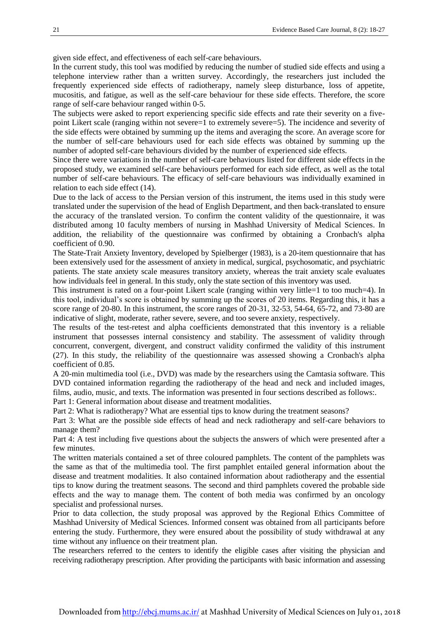given side effect, and effectiveness of each self-care behaviours.

In the current study, this tool was modified by reducing the number of studied side effects and using a telephone interview rather than a written survey. Accordingly, the researchers just included the frequently experienced side effects of radiotherapy, namely sleep disturbance, loss of appetite, mucositis, and fatigue, as well as the self-care behaviour for these side effects. Therefore, the score range of self-care behaviour ranged within 0-5.

The subjects were asked to report experiencing specific side effects and rate their severity on a fivepoint Likert scale (ranging within not severe=1 to extremely severe=5). The incidence and severity of the side effects were obtained by summing up the items and averaging the score. An average score for the number of self-care behaviours used for each side effects was obtained by summing up the number of adopted self-care behaviours divided by the number of experienced side effects.

Since there were variations in the number of self-care behaviours listed for different side effects in the proposed study, we examined self-care behaviours performed for each side effect, as well as the total number of self-care behaviours. The efficacy of self-care behaviours was individually examined in relation to each side effect (14).

Due to the lack of access to the Persian version of this instrument, the items used in this study were translated under the supervision of the head of English Department, and then back-translated to ensure the accuracy of the translated version. To confirm the content validity of the questionnaire, it was distributed among 10 faculty members of nursing in Mashhad University of Medical Sciences. In addition, the reliability of the questionnaire was confirmed by obtaining a Cronbach's alpha coefficient of 0.90.

The State-Trait Anxiety Inventory, developed by Spielberger (1983), is a 20-item questionnaire that has been extensively used for the assessment of anxiety in medical, surgical, psychosomatic, and psychiatric patients. The state anxiety scale measures transitory anxiety, whereas the trait anxiety scale evaluates how individuals feel in general. In this study, only the state section of this inventory was used.

This instrument is rated on a four-point Likert scale (ranging within very little=1 to too much=4). In this tool, individual's score is obtained by summing up the scores of 20 items. Regarding this, it has a score range of 20-80. In this instrument, the score ranges of 20-31, 32-53, 54-64, 65-72, and 73-80 are indicative of slight, moderate, rather severe, severe, and too severe anxiety, respectively.

The results of the test-retest and alpha coefficients demonstrated that this inventory is a reliable instrument that possesses internal consistency and stability. The assessment of validity through concurrent, convergent, divergent, and construct validity confirmed the validity of this instrument (27). In this study, the reliability of the questionnaire was assessed showing a Cronbach's alpha coefficient of 0.85.

A 20-min multimedia tool (i.e., DVD) was made by the researchers using the Camtasia software. This DVD contained information regarding the radiotherapy of the head and neck and included images, films, audio, music, and texts. The information was presented in four sections described as follows:.

Part 1: General information about disease and treatment modalities.

Part 2: What is radiotherapy? What are essential tips to know during the treatment seasons?

Part 3: What are the possible side effects of head and neck radiotherapy and self-care behaviors to manage them?

Part 4: A test including five questions about the subjects the answers of which were presented after a few minutes.

The written materials contained a set of three coloured pamphlets. The content of the pamphlets was the same as that of the multimedia tool. The first pamphlet entailed general information about the disease and treatment modalities. It also contained information about radiotherapy and the essential tips to know during the treatment seasons. The second and third pamphlets covered the probable side effects and the way to manage them. The content of both media was confirmed by an oncology specialist and professional nurses.

Prior to data collection, the study proposal was approved by the Regional Ethics Committee of Mashhad University of Medical Sciences. Informed consent was obtained from all participants before entering the study. Furthermore, they were ensured about the possibility of study withdrawal at any time without any influence on their treatment plan.

The researchers referred to the centers to identify the eligible cases after visiting the physician and receiving radiotherapy prescription. After providing the participants with basic information and assessing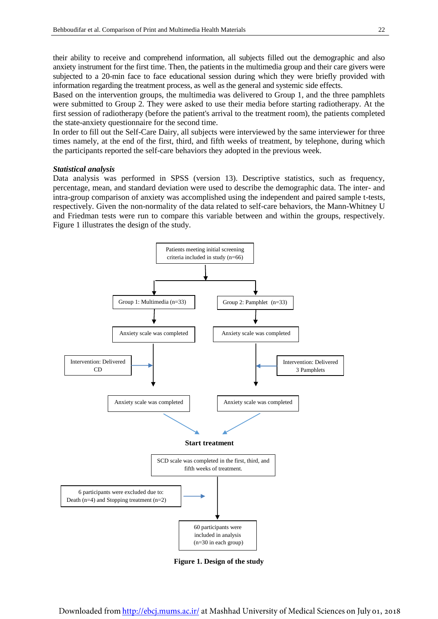their ability to receive and comprehend information, all subjects filled out the demographic and also anxiety instrument for the first time. Then, the patients in the multimedia group and their care givers were subjected to a 20-min face to face educational session during which they were briefly provided with information regarding the treatment process, as well as the general and systemic side effects.

Based on the intervention groups, the multimedia was delivered to Group 1, and the three pamphlets were submitted to Group 2. They were asked to use their media before starting radiotherapy. At the first session of radiotherapy (before the patient's arrival to the treatment room), the patients completed the state-anxiety questionnaire for the second time.

In order to fill out the Self-Care Dairy, all subjects were interviewed by the same interviewer for three times namely, at the end of the first, third, and fifth weeks of treatment, by telephone, during which the participants reported the self-care behaviors they adopted in the previous week.

#### *Statistical analysis*

Data analysis was performed in SPSS (version 13). Descriptive statistics, such as frequency, percentage, mean, and standard deviation were used to describe the demographic data. The inter- and intra-group comparison of anxiety was accomplished using the independent and paired sample t-tests, respectively. Given the non-normality of the data related to self-care behaviors, the Mann-Whitney U and Friedman tests were run to compare this variable between and within the groups, respectively. Figure 1 illustrates the design of the study.



**Figure 1. Design of the study**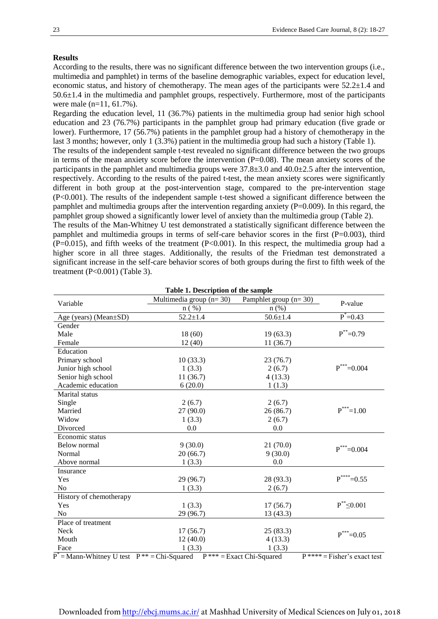#### **Results**

According to the results, there was no significant difference between the two intervention groups (i.e., multimedia and pamphlet) in terms of the baseline demographic variables, expect for education level, economic status, and history of chemotherapy. The mean ages of the participants were 52.2±1.4 and  $50.6\pm1.4$  in the multimedia and pamphlet groups, respectively. Furthermore, most of the participants were male (n=11, 61.7%).

Regarding the education level, 11 (36.7%) patients in the multimedia group had senior high school education and 23 (76.7%) participants in the pamphlet group had primary education (five grade or lower). Furthermore, 17 (56.7%) patients in the pamphlet group had a history of chemotherapy in the last 3 months; however, only 1 (3.3%) patient in the multimedia group had such a history (Table 1).

The results of the independent sample t-test revealed no significant difference between the two groups in terms of the mean anxiety score before the intervention  $(P=0.08)$ . The mean anxiety scores of the participants in the pamphlet and multimedia groups were 37.8±3.0 and 40.0±2.5 after the intervention, respectively. According to the results of the paired t-test, the mean anxiety scores were significantly different in both group at the post-intervention stage, compared to the pre-intervention stage (P<0.001). The results of the independent sample t-test showed a significant difference between the pamphlet and multimedia groups after the intervention regarding anxiety (P=0.009). In this regard, the pamphlet group showed a significantly lower level of anxiety than the multimedia group (Table 2).

The results of the Man-Whitney U test demonstrated a statistically significant difference between the pamphlet and multimedia groups in terms of self-care behavior scores in the first (P=0.003), third  $(P=0.015)$ , and fifth weeks of the treatment  $(P<0.001)$ . In this respect, the multimedia group had a higher score in all three stages. Additionally, the results of the Friedman test demonstrated a significant increase in the self-care behavior scores of both groups during the first to fifth week of the treatment (P<0.001) (Table 3).

| Table 1. Description of the sample                            |                           |                            |                                |  |  |  |
|---------------------------------------------------------------|---------------------------|----------------------------|--------------------------------|--|--|--|
| Variable                                                      | Multimedia group $(n=30)$ | Pamphlet group $(n=30)$    | P-value                        |  |  |  |
|                                                               | $n$ (%)                   | $n$ (%)                    |                                |  |  |  |
| Age (years) (Mean±SD)                                         | $52.2 \pm 1.4$            | $50.6 \pm 1.4$             | $P^* = 0.43$                   |  |  |  |
| Gender                                                        |                           |                            |                                |  |  |  |
| Male                                                          | 18(60)                    | 19(63.3)                   | $P^* = 0.79$                   |  |  |  |
| Female                                                        | 12(40)                    | 11(36.7)                   |                                |  |  |  |
| Education                                                     |                           |                            |                                |  |  |  |
| Primary school                                                | 10(33.3)                  | 23(76.7)                   |                                |  |  |  |
| Junior high school                                            | 1(3.3)                    | 2(6.7)                     | $P^{***}=0.004$                |  |  |  |
| Senior high school                                            | 11(36.7)                  | 4(13.3)                    |                                |  |  |  |
| Academic education                                            | 6(20.0)                   | 1(1.3)                     |                                |  |  |  |
| Marital status                                                |                           |                            |                                |  |  |  |
| Single                                                        | 2(6.7)                    | 2(6.7)                     |                                |  |  |  |
| Married                                                       | 27(90.0)                  | 26(86.7)                   | $P^{***}=1.00$                 |  |  |  |
| Widow                                                         | 1(3.3)                    | 2(6.7)                     |                                |  |  |  |
| Divorced                                                      | 0.0                       | 0.0                        |                                |  |  |  |
| Economic status                                               |                           |                            |                                |  |  |  |
| Below normal                                                  | 9(30.0)                   | 21(70.0)                   | $P^{***}=0.004$                |  |  |  |
| Normal                                                        | 20(66.7)                  | 9(30.0)                    |                                |  |  |  |
| Above normal                                                  | 1(3.3)                    | 0.0                        |                                |  |  |  |
| Insurance                                                     |                           |                            |                                |  |  |  |
| Yes                                                           | 29 (96.7)                 | 28 (93.3)                  | $P^{***}=0.55$                 |  |  |  |
| No                                                            | 1(3.3)                    | 2(6.7)                     |                                |  |  |  |
| History of chemotherapy                                       |                           |                            |                                |  |  |  |
| Yes                                                           | 1(3.3)                    | 17(56.7)                   | $P^*$ $\leq$ 0.001             |  |  |  |
| N <sub>o</sub>                                                | 29 (96.7)                 | 13(43.3)                   |                                |  |  |  |
| Place of treatment                                            |                           |                            |                                |  |  |  |
| Neck                                                          | 17(56.7)                  | 25(83.3)                   | $P^{***}=0.05$                 |  |  |  |
| Mouth                                                         | 12(40.0)                  | 4(13.3)                    |                                |  |  |  |
| Face                                                          | 1(3.3)                    | 1(3.3)                     |                                |  |  |  |
| $\overline{P}^*$ = Mann-Whitney U test $P^{**}$ = Chi-Squared |                           | $P*** = Exact Chi-Squared$ | $P$ **** = Fisher's exact test |  |  |  |

**Table 1. Description of the sample**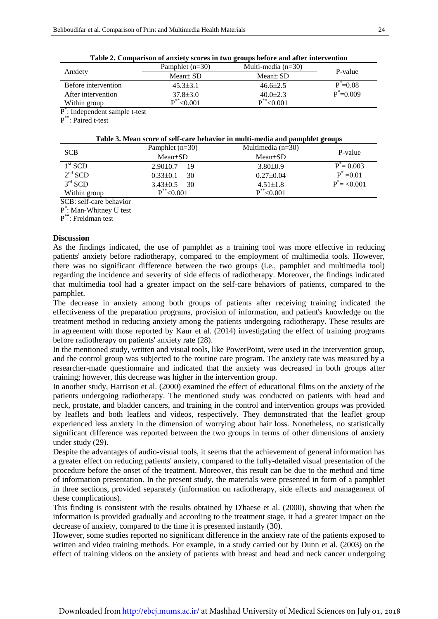| Table 2. Comparison of anxiety scores in two groups before and after intervention |                   |                      |               |  |  |
|-----------------------------------------------------------------------------------|-------------------|----------------------|---------------|--|--|
|                                                                                   | Pamphlet $(n=30)$ | Multi-media $(n=30)$ | P-value       |  |  |
| Anxiety                                                                           | Mean $\pm$ SD     | Mean $\pm$ SD        |               |  |  |
| Before intervention                                                               | $45.3 \pm 3.1$    | $46.6 \pm 2.5$       | $P^* = 0.08$  |  |  |
| After intervention                                                                | $37.8 \pm 3.0$    | $40.0 \pm 2.3$       | $P^* = 0.009$ |  |  |
| Within group                                                                      | $P^*$ < 0.001     | $P^*$ < 0.001        |               |  |  |
| $P^*$ : Independent sample t-test                                                 |                   |                      |               |  |  |

**Table 2. Comparison of anxiety scores in two groups before and after intervention**

P \*\* : Paired t-test

| <b>SCB</b>   | Pamphlet $(n=30)$    | Multimedia $(n=30)$ | P-value           |
|--------------|----------------------|---------------------|-------------------|
|              | $Mean \pm SD$        | $Mean \pm SD$       |                   |
| $1st$ SCD    | $2.90 \pm 0.7$<br>19 | $3.80\pm0.9$        | $P^* = 0.003$     |
| $2nd$ SCD    | 30<br>$0.33 \pm 0.1$ | $0.27 \pm 0.04$     | $P^* = 0.01$      |
| $3rd$ SCD    | 30<br>$3.43\pm0.5$   | $4.51 \pm 1.8$      | $P^* = \le 0.001$ |
| Within group | $P^*$ < 0.001        | $P^*$ < 0.001       |                   |

SCB: self-care behavior

P **\*** : Man-Whitney U test

P **\*\***: Freidman test

#### **Discussion**

As the findings indicated, the use of pamphlet as a training tool was more effective in reducing patients' anxiety before radiotherapy, compared to the employment of multimedia tools. However, there was no significant difference between the two groups (i.e., pamphlet and multimedia tool) regarding the incidence and severity of side effects of radiotherapy. Moreover, the findings indicated that multimedia tool had a greater impact on the self-care behaviors of patients, compared to the pamphlet.

The decrease in anxiety among both groups of patients after receiving training indicated the effectiveness of the preparation programs, provision of information, and patient's knowledge on the treatment method in reducing anxiety among the patients undergoing radiotherapy. These results are in agreement with those reported by Kaur et al. (2014) investigating the effect of training programs before radiotherapy on patients' anxiety rate (28).

In the mentioned study, written and visual tools, like PowerPoint, were used in the intervention group, and the control group was subjected to the routine care program. The anxiety rate was measured by a researcher-made questionnaire and indicated that the anxiety was decreased in both groups after training; however, this decrease was higher in the intervention group.

In another study, Harrison et al. (2000) examined the effect of educational films on the anxiety of the patients undergoing radiotherapy. The mentioned study was conducted on patients with head and neck, prostate, and bladder cancers, and training in the control and intervention groups was provided by leaflets and both leaflets and videos, respectively. They demonstrated that the leaflet group experienced less anxiety in the dimension of worrying about hair loss. Nonetheless, no statistically significant difference was reported between the two groups in terms of other dimensions of anxiety under study (29).

Despite the advantages of audio-visual tools, it seems that the achievement of general information has a greater effect on reducing patients' anxiety, compared to the fully-detailed visual presentation of the procedure before the onset of the treatment. Moreover, this result can be due to the method and time of information presentation. In the present study, the materials were presented in form of a pamphlet in three sections, provided separately (information on radiotherapy, side effects and management of these complications).

This finding is consistent with the results obtained by D'haese et al. (2000), showing that when the information is provided gradually and according to the treatment stage, it had a greater impact on the decrease of anxiety, compared to the time it is presented instantly (30).

However, some studies reported no significant difference in the anxiety rate of the patients exposed to written and video training methods. For example, in a study carried out by Dunn et al. (2003) on the effect of training videos on the anxiety of patients with breast and head and neck cancer undergoing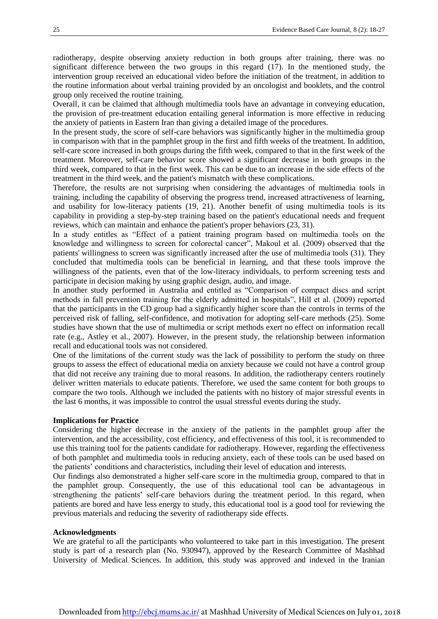radiotherapy, despite observing anxiety reduction in both groups after training, there was no significant difference between the two groups in this regard (17). In the mentioned study, the intervention group received an educational video before the initiation of the treatment, in addition to the routine information about verbal training provided by an oncologist and booklets, and the control group only received the routine training.

Overall, it can be claimed that although multimedia tools have an advantage in conveying education, the provision of pre-treatment education entailing general information is more effective in reducing the anxiety of patients in Eastern Iran than giving a detailed image of the procedures.

In the present study, the score of self-care behaviors was significantly higher in the multimedia group in comparison with that in the pamphlet group in the first and fifth weeks of the treatment. In addition, self-care score increased in both groups during the fifth week, compared to that in the first week of the treatment. Moreover, self-care behavior score showed a significant decrease in both groups in the third week, compared to that in the first week. This can be due to an increase in the side effects of the treatment in the third week, and the patient's mismatch with these complications.

Therefore, the results are not surprising when considering the advantages of multimedia tools in training, including the capability of observing the progress trend, increased attractiveness of learning, and usability for low-literacy patients (19, 21). Another benefit of using multimedia tools is its capability in providing a step-by-step training based on the patient's educational needs and frequent reviews, which can maintain and enhance the patient's proper behaviors (23, 31).

In a study entitles as "Effect of a patient training program based on multimedia tools on the knowledge and willingness to screen for colorectal cancer", Makoul et al. (2009) observed that the patients' willingness to screen was significantly increased after the use of multimedia tools (31). They concluded that multimedia tools can be beneficial in learning, and that these tools improve the willingness of the patients, even that of the low-literacy individuals, to perform screening tests and participate in decision making by using graphic design, audio, and image.

In another study performed in Australia and entitled as "Comparison of compact discs and script methods in fall prevention training for the elderly admitted in hospitals", Hill et al. (2009) reported that the participants in the CD group had a significantly higher score than the controls in terms of the perceived risk of falling, self-confidence, and motivation for adopting self-care methods (25). Some studies have shown that the use of multimedia or script methods exert no effect on information recall rate (e.g., Astley et al., 2007). However, in the present study, the relationship between information recall and educational tools was not considered.

One of the limitations of the current study was the lack of possibility to perform the study on three groups to assess the effect of educational media on anxiety because we could not have a control group that did not receive any training due to moral reasons. In addition, the radiotherapy centers routinely deliver written materials to educate patients. Therefore, we used the same content for both groups to compare the two tools. Although we included the patients with no history of major stressful events in the last 6 months, it was impossible to control the usual stressful events during the study.

#### **Implications for Practice**

Considering the higher decrease in the anxiety of the patients in the pamphlet group after the intervention, and the accessibility, cost efficiency, and effectiveness of this tool, it is recommended to use this training tool for the patients candidate for radiotherapy. However, regarding the effectiveness of both pamphlet and multimedia tools in reducing anxiety, each of these tools can be used based on the patients' conditions and characteristics, including their level of education and interests.

Our findings also demonstrated a higher self-care score in the multimedia group, compared to that in the pamphlet group. Consequently, the use of this educational tool can be advantageous in strengthening the patients' self-care behaviors during the treatment period. In this regard, when patients are bored and have less energy to study, this educational tool is a good tool for reviewing the previous materials and reducing the severity of radiotherapy side effects.

#### **Acknowledgments**

We are grateful to all the participants who volunteered to take part in this investigation. The present study is part of a research plan (No. 930947), approved by the Research Committee of Mashhad University of Medical Sciences. In addition, this study was approved and indexed in the Iranian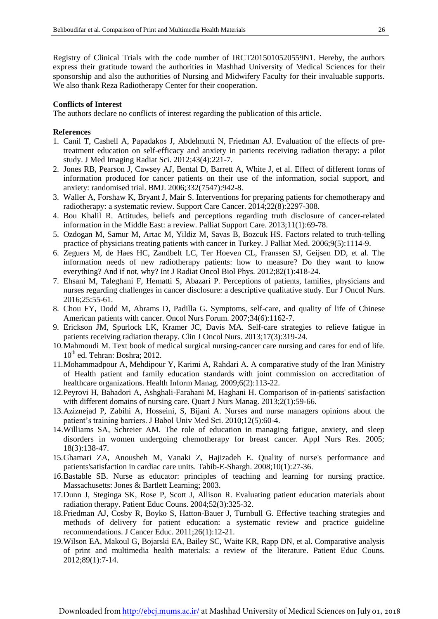Registry of Clinical Trials with the code number of IRCT2015010520559N1. Hereby, the authors express their gratitude toward the authorities in Mashhad University of Medical Sciences for their sponsorship and also the authorities of Nursing and Midwifery Faculty for their invaluable supports. We also thank Reza Radiotherapy Center for their cooperation.

#### **Conflicts of Interest**

The authors declare no conflicts of interest regarding the publication of this article.

#### **References**

- 1. Canil T, Cashell A, Papadakos J, Abdelmutti N, Friedman AJ. Evaluation of the effects of pretreatment education on self-efficacy and anxiety in patients receiving radiation therapy: a pilot study. J Med Imaging Radiat Sci. 2012;43(4):221-7.
- 2. Jones RB, Pearson J, Cawsey AJ, Bental D, Barrett A, White J, et al. Effect of different forms of information produced for cancer patients on their use of the information, social support, and anxiety: randomised trial. BMJ. 2006;332(7547):942-8.
- 3. Waller A, Forshaw K, Bryant J, Mair S. Interventions for preparing patients for chemotherapy and radiotherapy: a systematic review. Support Care Cancer. 2014;22(8):2297-308.
- 4. Bou Khalil R. Attitudes, beliefs and perceptions regarding truth disclosure of cancer-related information in the Middle East: a review. Palliat Support Care. 2013;11(1):69-78.
- 5. Ozdogan M, Samur M, Artac M, Yildiz M, Savas B, Bozcuk HS. Factors related to truth-telling practice of physicians treating patients with cancer in Turkey. J Palliat Med. 2006;9(5):1114-9.
- 6. Zeguers M, de Haes HC, Zandbelt LC, Ter Hoeven CL, Franssen SJ, Geijsen DD, et al. The information needs of new radiotherapy patients: how to measure? Do they want to know everything? And if not, why? Int J Radiat Oncol Biol Phys. 2012;82(1):418-24.
- 7. Ehsani M, Taleghani F, Hematti S, Abazari P. Perceptions of patients, families, physicians and nurses regarding challenges in cancer disclosure: a descriptive qualitative study. Eur J Oncol Nurs. 2016;25:55-61.
- 8. Chou FY, Dodd M, Abrams D, Padilla G. Symptoms, self-care, and quality of life of Chinese American patients with cancer. Oncol Nurs Forum. 2007;34(6):1162-7.
- 9. Erickson JM, Spurlock LK, Kramer JC, Davis MA. Self-care strategies to relieve fatigue in patients receiving radiation therapy. Clin J Oncol Nurs. 2013;17(3):319-24.
- 10.Mahmoudi M. Text book of medical surgical nursing-cancer care nursing and cares for end of life.  $10<sup>th</sup>$  ed. Tehran: Boshra; 2012.
- 11.Mohammadpour A, Mehdipour Y, Karimi A, Rahdari A. A comparative study of the Iran Ministry of Health patient and family education standards with joint commission on accreditation of healthcare organizations. Health Inform Manag. 2009;6(2):113-22.
- 12.Peyrovi H, Bahadori A, Ashghali-Farahani M, Haghani H. Comparison of in-patients' satisfaction with different domains of nursing care. Quart J Nurs Manag. 2013;2(1):59-66.
- 13.Aziznejad P, Zabihi A, Hosseini, S, Bijani A. Nurses and nurse managers opinions about the patient's training barriers. J Babol Univ Med Sci. 2010;12(5):60-4.
- 14.Williams SA, Schreier AM. The role of education in managing fatigue, anxiety, and sleep disorders in women undergoing chemotherapy for breast cancer. Appl Nurs Res. 2005; 18(3):138-47.
- 15.Ghamari ZA, Anousheh M, Vanaki Z, Hajizadeh E. Quality of nurse's performance and patients'satisfaction in cardiac care units. Tabib-E-Shargh. 2008;10(1):27-36.
- 16.Bastable SB. Nurse as educator: principles of teaching and learning for nursing practice. Massachusetts: Jones & Bartlett Learning; 2003.
- 17.Dunn J, Steginga SK, Rose P, Scott J, Allison R. Evaluating patient education materials about radiation therapy. Patient Educ Couns. 2004;52(3):325-32.
- 18.Friedman AJ, Cosby R, Boyko S, Hatton-Bauer J, Turnbull G. Effective teaching strategies and methods of delivery for patient education: a systematic review and practice guideline recommendations. J Cancer Educ. 2011;26(1):12-21.
- 19.Wilson EA, Makoul G, Bojarski EA, Bailey SC, Waite KR, Rapp DN, et al. Comparative analysis of print and multimedia health materials: a review of the literature. Patient Educ Couns. 2012;89(1):7-14.